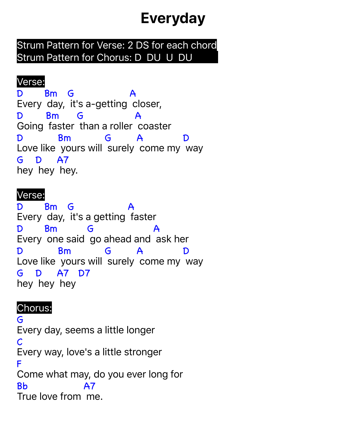# **Everyday**

Strum Pattern for Verse: 2 DS for each chord Strum Pattern for Chorus: D DU U DU

# Verse:

D Every day, it's a-getting closer, Bm G A D Going faster than a roller coaster Bm G A D Love like yours will surely come my way Bm G A D G D A7 hey hey hey.

#### Verse:

D Every day, it's a getting faster Bm G A D Every one said go ahead and ask her Bm G A D Love like yours will surely come my way Bm G A D G and the control of the control of the control of the control of the control of the control of the control of the control of the control of the control of the control of the control of the control of the control of the co hey hey hey D A7 D7

## Chorus:

G Every day, seems a little longer C Every way, love's a little stronger F Come what may, do you ever long for Bb True love from me.A7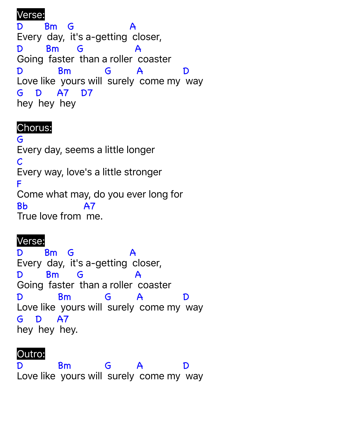#### Verse:

D Every day, it's a-getting closer, Bm G A D Going faster than a roller coaster Bm G A D Love like yours will surely come my way Bm G A D G hey hey hey D A7 D7

### Chorus:

G Every day, seems a little longer  $\mathcal C$ Every way, love's a little stronger F Come what may, do you ever long for Bb True love from me. **A7** 

## Verse:

D. Every day, it's a-getting closer, Bm G A D Going faster than a roller coaster Bm G A D Love like yours will surely come my way Bm G A D G hey hey hey. D **A7** 

# Outro:

D Love like yours will surely come my way Bm G A  $\bf{D}$